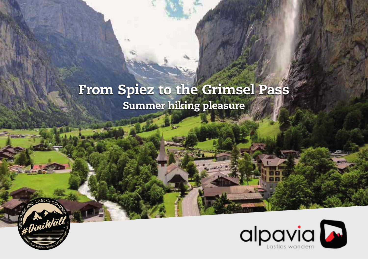# From Spiez to the Grimsel Pass Summer hiking pleasure